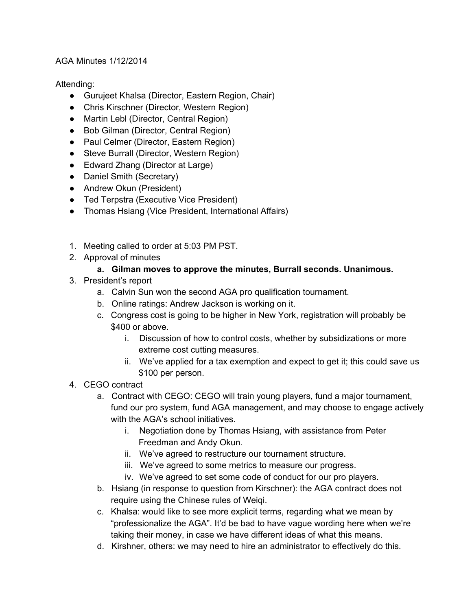## AGA Minutes 1/12/2014

Attending:

- Gurujeet Khalsa (Director, Eastern Region, Chair)
- Chris Kirschner (Director, Western Region)
- Martin Lebl (Director, Central Region)
- Bob Gilman (Director, Central Region)
- Paul Celmer (Director, Eastern Region)
- Steve Burrall (Director, Western Region)
- Edward Zhang (Director at Large)
- Daniel Smith (Secretary)
- Andrew Okun (President)
- Ted Terpstra (Executive Vice President)
- Thomas Hsiang (Vice President, International Affairs)
- 1. Meeting called to order at 5:03 PM PST.
- 2. Approval of minutes

## **a. Gilman moves to approve the minutes, Burrall seconds. Unanimous.**

- 3. President's report
	- a. Calvin Sun won the second AGA pro qualification tournament.
	- b. Online ratings: Andrew Jackson is working on it.
	- c. Congress cost is going to be higher in New York, registration will probably be \$400 or above.
		- i. Discussion of how to control costs, whether by subsidizations or more extreme cost cutting measures.
		- ii. We've applied for a tax exemption and expect to get it; this could save us \$100 per person.
- 4. CEGO contract
	- a. Contract with CEGO: CEGO will train young players, fund a major tournament, fund our pro system, fund AGA management, and may choose to engage actively with the AGA's school initiatives.
		- i. Negotiation done by Thomas Hsiang, with assistance from Peter Freedman and Andy Okun.
		- ii. We've agreed to restructure our tournament structure.
		- iii. We've agreed to some metrics to measure our progress.
		- iv. We've agreed to set some code of conduct for our pro players.
	- b. Hsiang (in response to question from Kirschner): the AGA contract does not require using the Chinese rules of Weiqi.
	- c. Khalsa: would like to see more explicit terms, regarding what we mean by "professionalize the AGA". It'd be bad to have vague wording here when we're taking their money, in case we have different ideas of what this means.
	- d. Kirshner, others: we may need to hire an administrator to effectively do this.